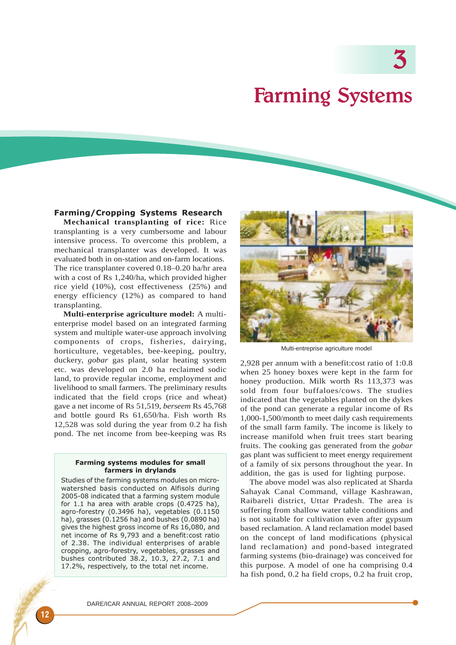3

## Farming Systems

## Farming/Cropping Systems Research

**Mechanical transplanting of rice:** Rice transplanting is a very cumbersome and labour intensive process. To overcome this problem, a mechanical transplanter was developed. It was evaluated both in on-station and on-farm locations. The rice transplanter covered 0.18–0.20 ha/hr area with a cost of Rs 1,240/ha, which provided higher rice yield (10%), cost effectiveness (25%) and energy efficiency (12%) as compared to hand transplanting.

**Multi-enterprise agriculture model:** A multienterprise model based on an integrated farming system and multiple water-use approach involving components of crops, fisheries, dairying, horticulture, vegetables, bee-keeping, poultry, duckery, *gobar* gas plant, solar heating system etc. was developed on 2.0 ha reclaimed sodic land, to provide regular income, employment and livelihood to small farmers. The preliminary results indicated that the field crops (rice and wheat) gave a net income of Rs 51,519, *berseem* Rs 45,768 and bottle gourd Rs 61,650/ha. Fish worth Rs 12,528 was sold during the year from 0.2 ha fish pond. The net income from bee-keeping was Rs

## Farming systems modules for small farmers in drylands

Studies of the farming systems modules on microwatershed basis conducted on Alfisols during 2005-08 indicated that a farming system module for 1.1 ha area with arable crops (0.4725 ha), agro-forestry (0.3496 ha), vegetables (0.1150 ha), grasses (0.1256 ha) and bushes (0.0890 ha) gives the highest gross income of Rs 16,080, and net income of Rs 9,793 and a benefit:cost ratio of 2.38. The individual enterprises of arable cropping, agro-forestry, vegetables, grasses and bushes contributed 38.2, 10.3, 27.2, 7.1 and 17.2%, respectively, to the total net income.



Multi-entreprise agriculture model

2,928 per annum with a benefit:cost ratio of 1:0.8 when 25 honey boxes were kept in the farm for honey production. Milk worth Rs 113,373 was sold from four buffaloes/cows. The studies indicated that the vegetables planted on the dykes of the pond can generate a regular income of Rs 1,000-1,500/month to meet daily cash requirements of the small farm family. The income is likely to increase manifold when fruit trees start bearing fruits. The cooking gas generated from the *gobar* gas plant was sufficient to meet energy requirement of a family of six persons throughout the year. In addition, the gas is used for lighting purpose.

The above model was also replicated at Sharda Sahayak Canal Command, village Kashrawan, Raibareli district, Uttar Pradesh. The area is suffering from shallow water table conditions and is not suitable for cultivation even after gypsum based reclamation. A land reclamation model based on the concept of land modifications (physical land reclamation) and pond-based integrated farming systems (bio-drainage) was conceived for this purpose. A model of one ha comprising 0.4 ha fish pond, 0.2 ha field crops, 0.2 ha fruit crop,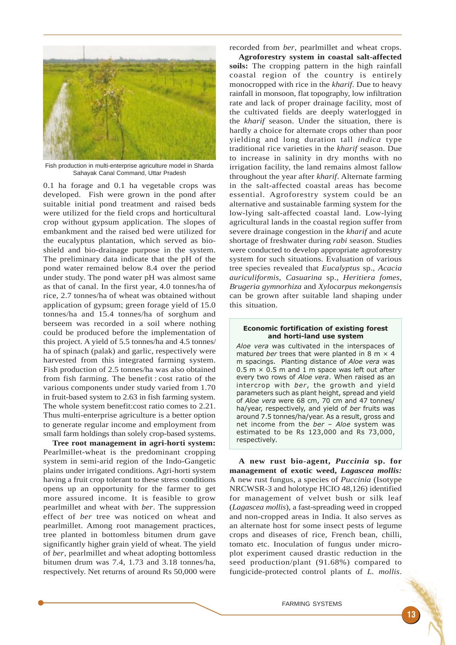

Fish production in multi-enterprise agriculture model in Sharda Sahayak Canal Command, Uttar Pradesh

0.1 ha forage and 0.1 ha vegetable crops was developed. Fish were grown in the pond after suitable initial pond treatment and raised beds were utilized for the field crops and horticultural crop without gypsum application. The slopes of embankment and the raised bed were utilized for the eucalyptus plantation, which served as bioshield and bio-drainage purpose in the system. The preliminary data indicate that the pH of the pond water remained below 8.4 over the period under study. The pond water pH was almost same as that of canal. In the first year, 4.0 tonnes/ha of rice, 2.7 tonnes/ha of wheat was obtained without application of gypsum; green forage yield of 15.0 tonnes/ha and 15.4 tonnes/ha of sorghum and berseem was recorded in a soil where nothing could be produced before the implementation of this project. A yield of 5.5 tonnes/ha and 4.5 tonnes/ ha of spinach (palak) and garlic, respectively were harvested from this integrated farming system. Fish production of 2.5 tonnes/ha was also obtained from fish farming. The benefit : cost ratio of the various components under study varied from 1.70 in fruit-based system to 2.63 in fish farming system. The whole system benefit:cost ratio comes to 2.21. Thus multi-enterprise agriculture is a better option to generate regular income and employment from small farm holdings than solely crop-based systems.

**Tree root management in agri-horti system:** Pearlmillet-wheat is the predominant cropping system in semi-arid region of the Indo-Gangetic plains under irrigated conditions. Agri-horti system having a fruit crop tolerant to these stress conditions opens up an opportunity for the farmer to get more assured income. It is feasible to grow pearlmillet and wheat with *ber*. The suppression effect of *ber* tree was noticed on wheat and pearlmillet. Among root management practices, tree planted in bottomless bitumen drum gave significantly higher grain yield of wheat. The yield of *ber*, pearlmillet and wheat adopting bottomless bitumen drum was 7.4, 1.73 and 3.18 tonnes/ha, respectively. Net returns of around Rs 50,000 were

recorded from *ber*, pearlmillet and wheat crops.

**Agroforestry system in coastal salt-affected soils:** The cropping pattern in the high rainfall coastal region of the country is entirely monocropped with rice in the *kharif*. Due to heavy rainfall in monsoon, flat topography, low infiltration rate and lack of proper drainage facility, most of the cultivated fields are deeply waterlogged in the *kharif* season. Under the situation, there is hardly a choice for alternate crops other than poor yielding and long duration tall *indica* type traditional rice varieties in the *kharif* season. Due to increase in salinity in dry months with no irrigation facility, the land remains almost fallow throughout the year after *kharif*. Alternate farming in the salt-affected coastal areas has become essential. Agroforestry system could be an alternative and sustainable farming system for the low-lying salt-affected coastal land. Low-lying agricultural lands in the coastal region suffer from severe drainage congestion in the *kharif* and acute shortage of freshwater during *rabi* season. Studies were conducted to develop appropriate agroforestry system for such situations. Evaluation of various tree species revealed that *Eucalyptus* sp., *Acacia auriculiformis, Casuarina* sp.*, Heritiera fomes, Brugeria gymnorhiza* and *Xylocarpus mekongensis* can be grown after suitable land shaping under this situation.

## Economic fortification of existing forest and horti-land use system

Aloe vera was cultivated in the interspaces of matured ber trees that were planted in 8 m  $\times$  4 m spacings. Planting distance of Aloe vera was  $0.5$  m  $\times$  0.5 m and 1 m space was left out after every two rows of Aloe vera. When raised as an intercrop with ber, the growth and yield parameters such as plant height, spread and yield of Aloe vera were 68 cm, 70 cm and 47 tonnes/ ha/year, respectively, and yield of ber fruits was around 7.5 tonnes/ha/year. As a result, gross and net income from the ber – Aloe system was estimated to be Rs 123,000 and Rs 73,000, respectively.

**A new rust bio-agent,** *Puccinia* **sp. for management of exotic weed,** *Lagascea mollis:* A new rust fungus, a species of *Puccinia* (Isotype NRCWSR-3 and holotype HCIO 48,126) identified for management of velvet bush or silk leaf (*Lagascea mollis*), a fast-spreading weed in cropped and non-cropped areas in India. It also serves as an alternate host for some insect pests of legume crops and diseases of rice, French bean, chilli, tomato etc. Inoculation of fungus under microplot experiment caused drastic reduction in the seed production/plant (91.68%) compared to fungicide-protected control plants of *L. mollis*.